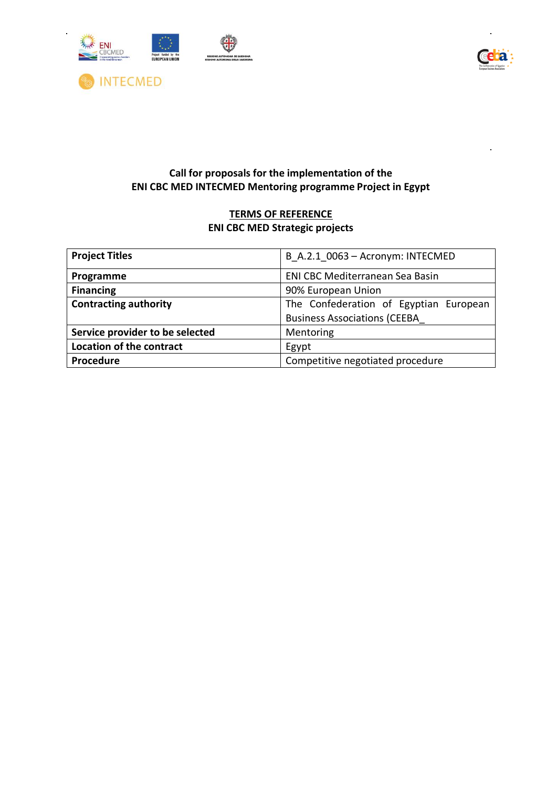

 $\ddot{\phantom{a}}$ 



# **Call for proposals for the implementation of the ENI CBC MED INTECMED Mentoring programme Project in Egypt**

# **TERMS OF REFERENCE ENI CBC MED Strategic projects**

| <b>Project Titles</b>           | B A.2.1 0063 - Acronym: INTECMED       |  |  |
|---------------------------------|----------------------------------------|--|--|
| Programme                       | <b>ENI CBC Mediterranean Sea Basin</b> |  |  |
| <b>Financing</b>                | 90% European Union                     |  |  |
| <b>Contracting authority</b>    | The Confederation of Egyptian European |  |  |
|                                 | <b>Business Associations (CEEBA</b>    |  |  |
| Service provider to be selected | Mentoring                              |  |  |
| <b>Location of the contract</b> | Egypt                                  |  |  |
| Procedure                       | Competitive negotiated procedure       |  |  |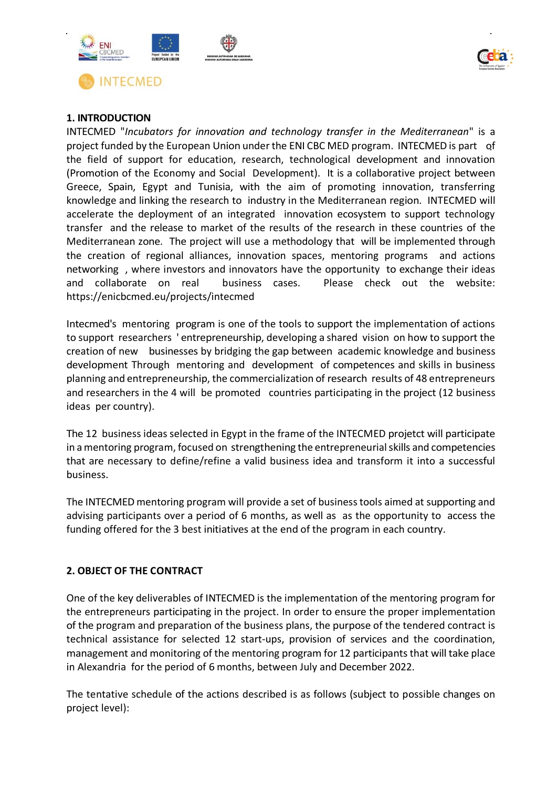



## **1. INTRODUCTION**

INTECMED "*Incubators for innovation and technology transfer in the Mediterranean*" is a project funded by the European Union under the ENI CBC MED program. INTECMED is part of the field of support for education, research, technological development and innovation (Promotion of the Economy and Social Development). It is a collaborative project between Greece, Spain, Egypt and Tunisia, with the aim of promoting innovation, transferring knowledge and linking the research to industry in the Mediterranean region. INTECMED will accelerate the deployment of an integrated innovation ecosystem to support technology transfer and the release to market of the results of the research in these countries of the Mediterranean zone. The project will use a methodology that will be implemented through the creation of regional alliances, innovation spaces, mentoring programs and actions networking , where investors and innovators have the opportunity to exchange their ideas and collaborate on real business cases. Please check out the website: https://enicbcmed.eu/projects/intecmed

Intecmed's mentoring program is one of the tools to support the implementation of actions to support researchers ' entrepreneurship, developing a shared vision on how to support the creation of new businesses by bridging the gap between academic knowledge and business development Through mentoring and development of competences and skills in business planning and entrepreneurship, the commercialization of research results of 48 entrepreneurs and researchers in the 4 will be promoted countries participating in the project (12 business ideas per country).

The 12 business ideas selected in Egypt in the frame of the INTECMED projetct will participate in a mentoring program, focused on strengthening the entrepreneurial skills and competencies that are necessary to define/refine a valid business idea and transform it into a successful business.

The INTECMEDmentoring program will provide a set of business tools aimed at supporting and advising participants over a period of 6 months, as well as as the opportunity to access the funding offered for the 3 best initiatives at the end of the program in each country.

## **2. OBJECT OF THE CONTRACT**

One of the key deliverables of INTECMED is the implementation of the mentoring program for the entrepreneurs participating in the project. In order to ensure the proper implementation of the program and preparation of the business plans, the purpose of the tendered contract is technical assistance for selected 12 start-ups, provision of services and the coordination, management and monitoring of the mentoring program for 12 participants that will take place in Alexandria for the period of 6 months, between July and December 2022.

The tentative schedule of the actions described is as follows (subject to possible changes on project level):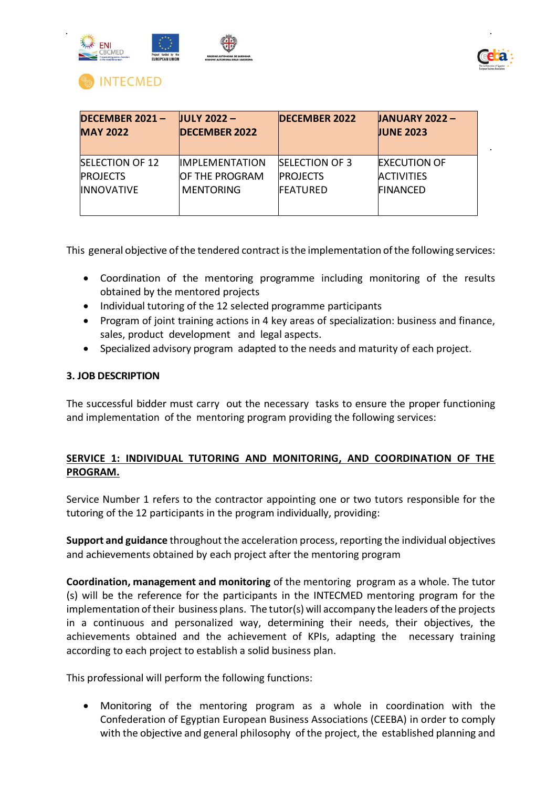



# **NTECMED**

| <b>DECEMBER 2021-</b><br><b>MAY 2022</b> | $IULY 2022 -$<br><b>DECEMBER 2022</b> | <b>DECEMBER 2022</b>  | <b>JANUARY 2022-</b><br><b>JUNE 2023</b> |
|------------------------------------------|---------------------------------------|-----------------------|------------------------------------------|
| <b>SELECTION OF 12</b>                   | <b>IMPLEMENTATION</b>                 | <b>SELECTION OF 3</b> | <b>EXECUTION OF</b>                      |
| <b>PROJECTS</b>                          | <b>OF THE PROGRAM</b>                 | <b>PROJECTS</b>       | <b>ACTIVITIES</b>                        |
| <b>INNOVATIVE</b>                        | <b>MENTORING</b>                      | <b>FEATURED</b>       | <b>FINANCED</b>                          |
|                                          |                                       |                       |                                          |

This general objective of the tendered contract is the implementation of the following services:

- Coordination of the mentoring programme including monitoring of the results obtained by the mentored projects
- Individual tutoring of the 12 selected programme participants
- Program of joint training actions in 4 key areas of specialization: business and finance, sales, product development and legal aspects.
- Specialized advisory program adapted to the needs and maturity of each project.

## **3. JOB DESCRIPTION**

The successful bidder must carry out the necessary tasks to ensure the proper functioning and implementation of the mentoring program providing the following services:

## **SERVICE 1: INDIVIDUAL TUTORING AND MONITORING, AND COORDINATION OF THE PROGRAM.**

Service Number 1 refers to the contractor appointing one or two tutors responsible for the tutoring of the 12 participants in the program individually, providing:

**Support and guidance** throughout the acceleration process, reporting the individual objectives and achievements obtained by each project after the mentoring program

**Coordination, management and monitoring** of the mentoring program as a whole. The tutor (s) will be the reference for the participants in the INTECMED mentoring program for the implementation of their business plans. The tutor(s) will accompany the leaders of the projects in a continuous and personalized way, determining their needs, their objectives, the achievements obtained and the achievement of KPIs, adapting the necessary training according to each project to establish a solid business plan.

This professional will perform the following functions:

• Monitoring of the mentoring program as a whole in coordination with the Confederation of Egyptian European Business Associations (CEEBA) in order to comply with the objective and general philosophy of the project, the established planning and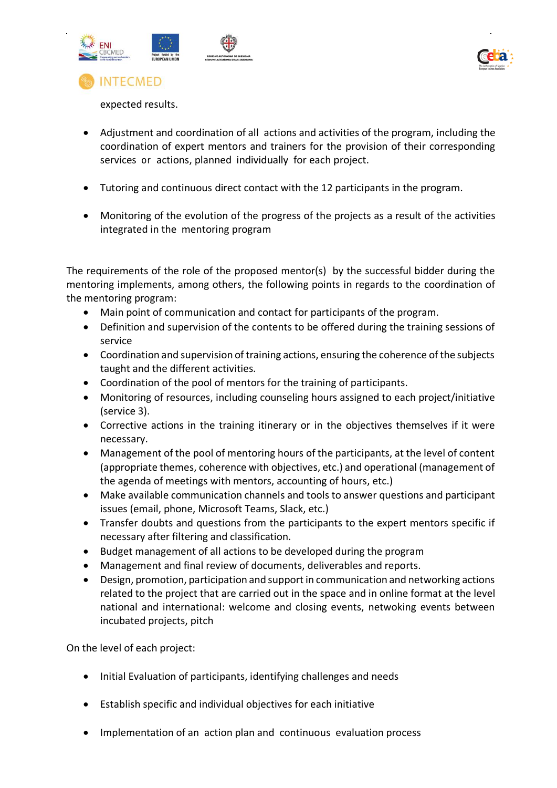



expected results.

**INTECMED** 

- Adjustment and coordination of all actions and activities of the program, including the coordination of expert mentors and trainers for the provision of their corresponding services or actions, planned individually for each project.
- Tutoring and continuous direct contact with the 12 participants in the program.
- Monitoring of the evolution of the progress of the projects as a result of the activities integrated in the mentoring program

The requirements of the role of the proposed mentor(s) by the successful bidder during the mentoring implements, among others, the following points in regards to the coordination of the mentoring program:

- Main point of communication and contact for participants of the program.
- Definition and supervision of the contents to be offered during the training sessions of service
- Coordination and supervision of training actions, ensuring the coherence of the subjects taught and the different activities.
- Coordination of the pool of mentors for the training of participants.
- Monitoring of resources, including counseling hours assigned to each project/initiative (service 3).
- Corrective actions in the training itinerary or in the objectives themselves if it were necessary.
- Management of the pool of mentoring hours of the participants, at the level of content (appropriate themes, coherence with objectives, etc.) and operational (management of the agenda of meetings with mentors, accounting of hours, etc.)
- Make available communication channels and tools to answer questions and participant issues (email, phone, Microsoft Teams, Slack, etc.)
- Transfer doubts and questions from the participants to the expert mentors specific if necessary after filtering and classification.
- Budget management of all actions to be developed during the program
- Management and final review of documents, deliverables and reports.
- Design, promotion, participation and support in communication and networking actions related to the project that are carried out in the space and in online format at the level national and international: welcome and closing events, netwoking events between incubated projects, pitch

On the level of each project:

- Initial Evaluation of participants, identifying challenges and needs
- Establish specific and individual objectives for each initiative
- Implementation of an action plan and continuous evaluation process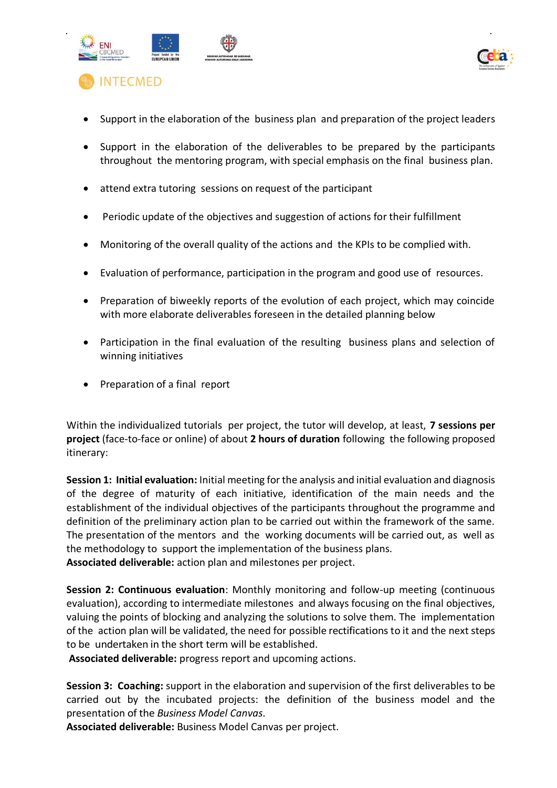



- Support in the elaboration of the business plan and preparation of the project leaders
- Support in the elaboration of the deliverables to be prepared by the participants throughout the mentoring program, with special emphasis on the final business plan.
- attend extra tutoring sessions on request of the participant
- Periodic update of the objectives and suggestion of actions for their fulfillment
- Monitoring of the overall quality of the actions and the KPIs to be complied with.
- Evaluation of performance, participation in the program and good use of resources.
- Preparation of biweekly reports of the evolution of each project, which may coincide with more elaborate deliverables foreseen in the detailed planning below
- Participation in the final evaluation of the resulting business plans and selection of winning initiatives
- Preparation of a final report

Within the individualized tutorials per project, the tutor will develop, at least, **7 sessions per project** (face-to-face or online) of about **2 hours of duration** following the following proposed itinerary:

**Session 1: Initial evaluation:** Initial meeting for the analysis and initial evaluation and diagnosis of the degree of maturity of each initiative, identification of the main needs and the establishment of the individual objectives of the participants throughout the programme and definition of the preliminary action plan to be carried out within the framework of the same. The presentation of the mentors and the working documents will be carried out, as well as the methodology to support the implementation of the business plans.

**Associated deliverable:** action plan and milestones per project.

**Session 2: Continuous evaluation**: Monthly monitoring and follow-up meeting (continuous evaluation), according to intermediate milestones and always focusing on the final objectives, valuing the points of blocking and analyzing the solutions to solve them. The implementation of the action plan will be validated, the need for possible rectifications to it and the next steps to be undertaken in the short term will be established.

**Associated deliverable:** progress report and upcoming actions.

**Session 3: Coaching:** support in the elaboration and supervision of the first deliverables to be carried out by the incubated projects: the definition of the business model and the presentation of the *Business Model Canvas*.

**Associated deliverable:** Business Model Canvas per project.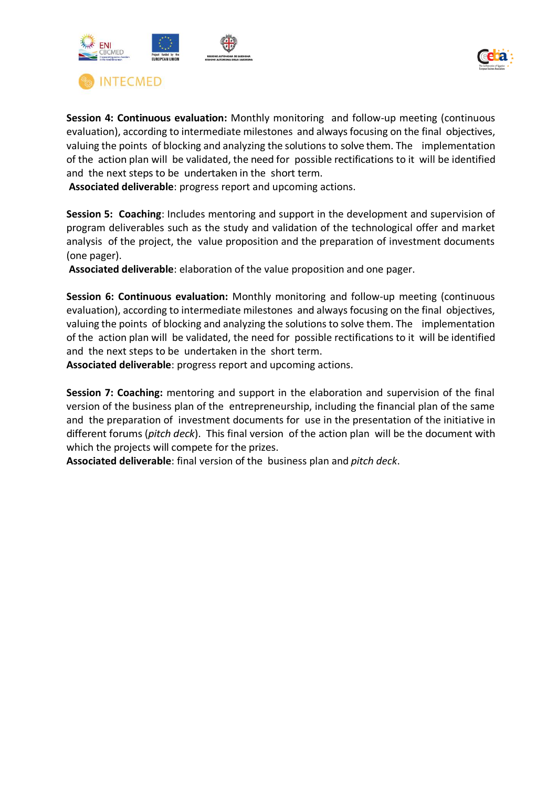



**Session 4: Continuous evaluation:** Monthly monitoring and follow-up meeting (continuous evaluation), according to intermediate milestones and always focusing on the final objectives, valuing the points of blocking and analyzing the solutions to solve them. The implementation of the action plan will be validated, the need for possible rectifications to it will be identified and the next steps to be undertaken in the short term.

**Associated deliverable**: progress report and upcoming actions.

**Session 5: Coaching**: Includes mentoring and support in the development and supervision of program deliverables such as the study and validation of the technological offer and market analysis of the project, the value proposition and the preparation of investment documents (one pager).

**Associated deliverable**: elaboration of the value proposition and one pager.

**Session 6: Continuous evaluation:** Monthly monitoring and follow-up meeting (continuous evaluation), according to intermediate milestones and always focusing on the final objectives, valuing the points of blocking and analyzing the solutions to solve them. The implementation of the action plan will be validated, the need for possible rectifications to it will be identified and the next steps to be undertaken in the short term.

**Associated deliverable**: progress report and upcoming actions.

**Session 7: Coaching:** mentoring and support in the elaboration and supervision of the final version of the business plan of the entrepreneurship, including the financial plan of the same and the preparation of investment documents for use in the presentation of the initiative in different forums (*pitch deck*). This final version of the action plan will be the document with which the projects will compete for the prizes.

**Associated deliverable**: final version of the business plan and *pitch deck*.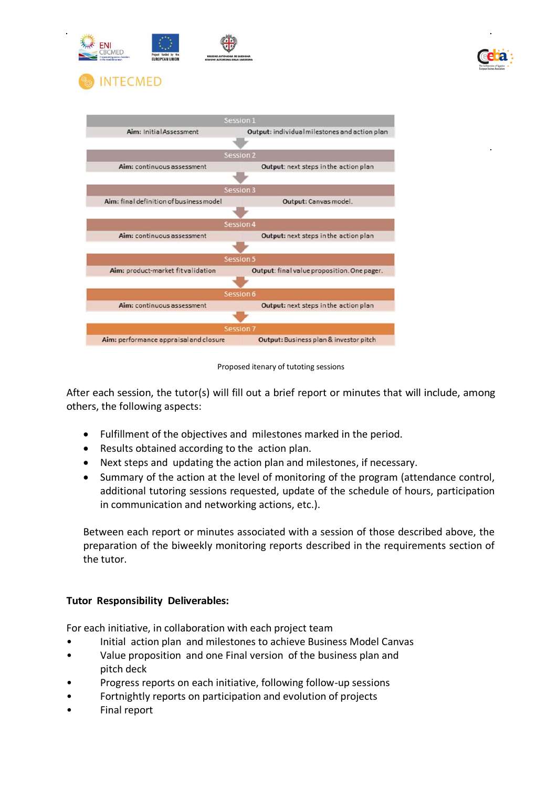



Proposed itenary of tutoting sessions

After each session, the tutor(s) will fill out a brief report or minutes that will include, among others, the following aspects:

- Fulfillment of the objectives and milestones marked in the period.
- Results obtained according to the action plan.
- Next steps and updating the action plan and milestones, if necessary.
- Summary of the action at the level of monitoring of the program (attendance control, additional tutoring sessions requested, update of the schedule of hours, participation in communication and networking actions, etc.).

Between each report or minutes associated with a session of those described above, the preparation of the biweekly monitoring reports described in the requirements section of the tutor.

## **Tutor Responsibility Deliverables:**

For each initiative, in collaboration with each project team

- Initial action plan and milestones to achieve Business Model Canvas
- Value proposition and one Final version of the business plan and pitch deck
- Progress reports on each initiative, following follow-up sessions
- Fortnightly reports on participation and evolution of projects
- Final report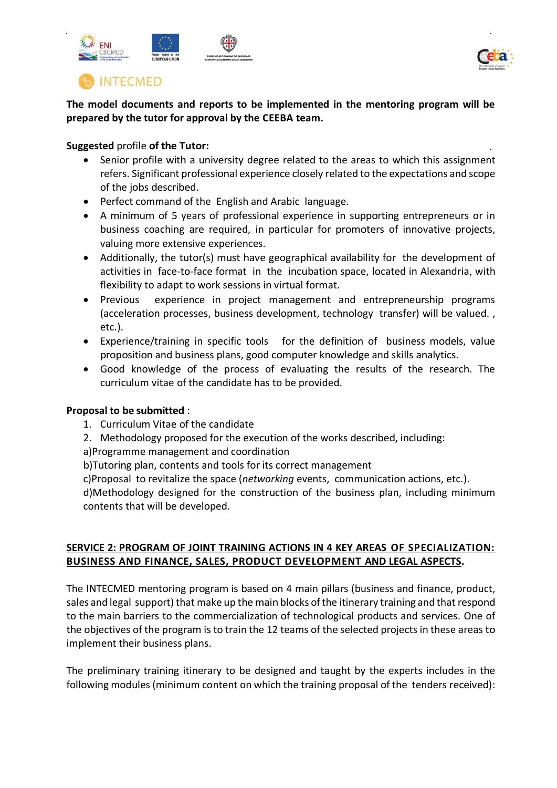



# **INTECMED**

**The model documents and reports to be implemented in the mentoring program will be prepared by the tutor for approval by the CEEBA team.**

## **Suggested** profile **of the Tutor:**

- Senior profile with a university degree related to the areas to which this assignment refers. Significant professional experience closely related to the expectations and scope of the jobs described.
- Perfect command of the English and Arabic language.
- A minimum of 5 years of professional experience in supporting entrepreneurs or in business coaching are required, in particular for promoters of innovative projects, valuing more extensive experiences.
- Additionally, the tutor(s) must have geographical availability for the development of activities in face-to-face format in the incubation space, located in Alexandria, with flexibility to adapt to work sessions in virtual format.
- Previous experience in project management and entrepreneurship programs (acceleration processes, business development, technology transfer) will be valued. , etc.).
- Experience/training in specific tools for the definition of business models, value proposition and business plans, good computer knowledge and skills analytics.
- Good knowledge of the process of evaluating the results of the research. The curriculum vitae of the candidate has to be provided.

## **Proposal to be submitted** :

- 1. Curriculum Vitae of the candidate
- 2. Methodology proposed for the execution of the works described, including:
- a)Programme management and coordination
- b)Tutoring plan, contents and tools for its correct management
- c)Proposal to revitalize the space (*networking* events, communication actions, etc.).

d)Methodology designed for the construction of the business plan, including minimum contents that will be developed.

## **SERVICE 2: PROGRAM OF JOINT TRAINING ACTIONS IN 4 KEY AREAS OF SPECIALIZATION: BUSINESS AND FINANCE, SALES, PRODUCT DEVELOPMENT AND LEGAL ASPECTS.**

The INTECMED mentoring program is based on 4 main pillars (business and finance, product, sales and legal support) that make up the main blocks of the itinerary training and that respond to the main barriers to the commercialization of technological products and services. One of the objectives of the program is to train the 12 teams of the selected projects in these areas to implement their business plans.

The preliminary training itinerary to be designed and taught by the experts includes in the following modules (minimum content on which the training proposal of the tenders received):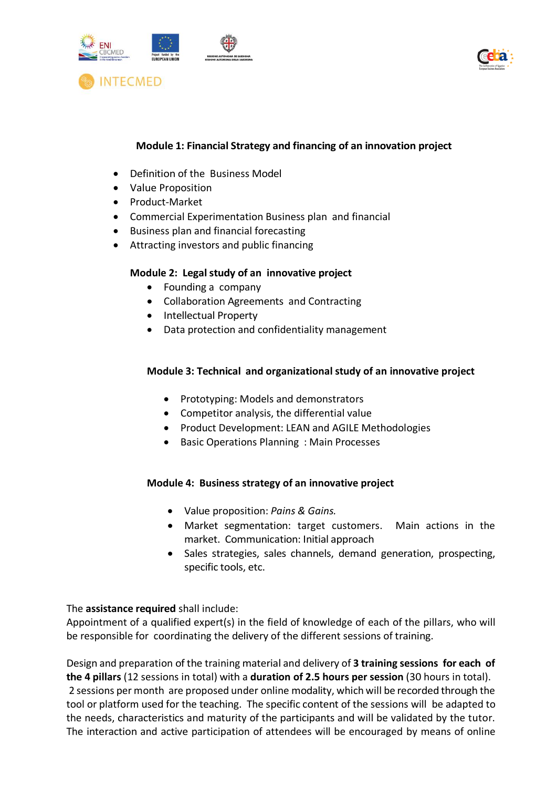



## **Module 1: Financial Strategy and financing of an innovation project**

- Definition of the Business Model
- Value Proposition
- Product-Market
- Commercial Experimentation Business plan and financial
- Business plan and financial forecasting
- Attracting investors and public financing

## **Module 2: Legal study of an innovative project**

- Founding a company
- Collaboration Agreements and Contracting
- Intellectual Property
- Data protection and confidentiality management

## **Module 3: Technical and organizational study of an innovative project**

- Prototyping: Models and demonstrators
- Competitor analysis, the differential value
- Product Development: LEAN and AGILE Methodologies
- Basic Operations Planning : Main Processes

## **Module 4: Business strategy of an innovative project**

- Value proposition: *Pains & Gains.*
- Market segmentation: target customers. Main actions in the market. Communication: Initial approach
- Sales strategies, sales channels, demand generation, prospecting, specific tools, etc.

The **assistance required** shall include:

Appointment of a qualified expert(s) in the field of knowledge of each of the pillars, who will be responsible for coordinating the delivery of the different sessions of training.

Design and preparation of the training material and delivery of **3 training sessions for each of the 4 pillars** (12 sessions in total) with a **duration of 2.5 hours per session** (30 hours in total). 2 sessions per month are proposed under online modality, which will be recorded through the tool or platform used for the teaching. The specific content of the sessions will be adapted to the needs, characteristics and maturity of the participants and will be validated by the tutor. The interaction and active participation of attendees will be encouraged by means of online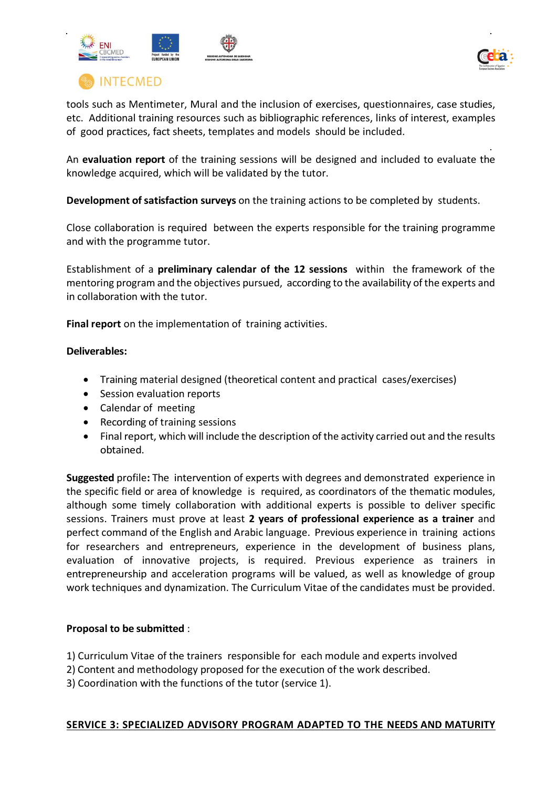



**INTECMED** 

tools such as Mentimeter, Mural and the inclusion of exercises, questionnaires, case studies, etc. Additional training resources such as bibliographic references, links of interest, examples of good practices, fact sheets, templates and models should be included.

An **evaluation report** of the training sessions will be designed and included to evaluate the knowledge acquired, which will be validated by the tutor.

**Development of satisfaction surveys** on the training actions to be completed by students.

Close collaboration is required between the experts responsible for the training programme and with the programme tutor.

Establishment of a **preliminary calendar of the 12 sessions** within the framework of the mentoring program and the objectives pursued, according to the availability of the experts and in collaboration with the tutor.

**Final report** on the implementation of training activities.

## **Deliverables:**

- Training material designed (theoretical content and practical cases/exercises)
- Session evaluation reports
- Calendar of meeting
- Recording of training sessions
- Final report, which will include the description of the activity carried out and the results obtained.

**Suggested** profile**:** The intervention of experts with degrees and demonstrated experience in the specific field or area of knowledge is required, as coordinators of the thematic modules, although some timely collaboration with additional experts is possible to deliver specific sessions. Trainers must prove at least **2 years of professional experience as a trainer** and perfect command of the English and Arabic language. Previous experience in training actions for researchers and entrepreneurs, experience in the development of business plans, evaluation of innovative projects, is required. Previous experience as trainers in entrepreneurship and acceleration programs will be valued, as well as knowledge of group work techniques and dynamization. The Curriculum Vitae of the candidates must be provided.

## **Proposal to be submitted** :

- 1) Curriculum Vitae of the trainers responsible for each module and experts involved
- 2) Content and methodology proposed for the execution of the work described.
- 3) Coordination with the functions of the tutor (service 1).

## **SERVICE 3: SPECIALIZED ADVISORY PROGRAM ADAPTED TO THE NEEDS AND MATURITY**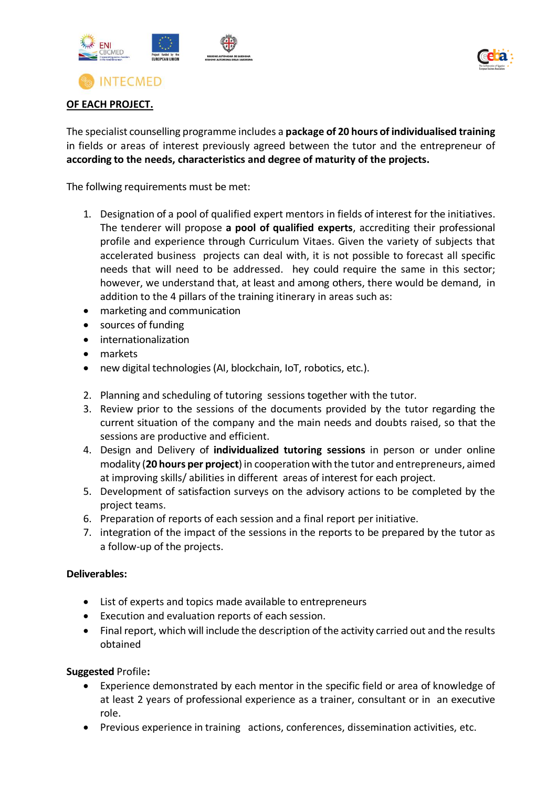



## **OF EACH PROJECT.**

The specialist counselling programme includes a **package of 20 hours of individualised training** in fields or areas of interest previously agreed between the tutor and the entrepreneur of **according to the needs, characteristics and degree of maturity of the projects.**

The follwing requirements must be met:

- 1. Designation of a pool of qualified expert mentors in fields of interest for the initiatives. The tenderer will propose **a pool of qualified experts**, accrediting their professional profile and experience through Curriculum Vitaes. Given the variety of subjects that accelerated business projects can deal with, it is not possible to forecast all specific needs that will need to be addressed. hey could require the same in this sector; however, we understand that, at least and among others, there would be demand, in addition to the 4 pillars of the training itinerary in areas such as:
- marketing and communication
- sources of funding
- internationalization
- markets
- new digital technologies (AI, blockchain, IoT, robotics, etc.).
- 2. Planning and scheduling of tutoring sessions together with the tutor.
- 3. Review prior to the sessions of the documents provided by the tutor regarding the current situation of the company and the main needs and doubts raised, so that the sessions are productive and efficient.
- 4. Design and Delivery of **individualized tutoring sessions** in person or under online modality (**20 hours per project**)in cooperation with the tutor and entrepreneurs, aimed at improving skills/ abilities in different areas of interest for each project.
- 5. Development of satisfaction surveys on the advisory actions to be completed by the project teams.
- 6. Preparation of reports of each session and a final report per initiative.
- 7. integration of the impact of the sessions in the reports to be prepared by the tutor as a follow-up of the projects.

## **Deliverables:**

- List of experts and topics made available to entrepreneurs
- Execution and evaluation reports of each session.
- Final report, which will include the description of the activity carried out and the results obtained

## **Suggested** Profile**:**

- Experience demonstrated by each mentor in the specific field or area of knowledge of at least 2 years of professional experience as a trainer, consultant or in an executive role.
- Previous experience in training actions, conferences, dissemination activities, etc.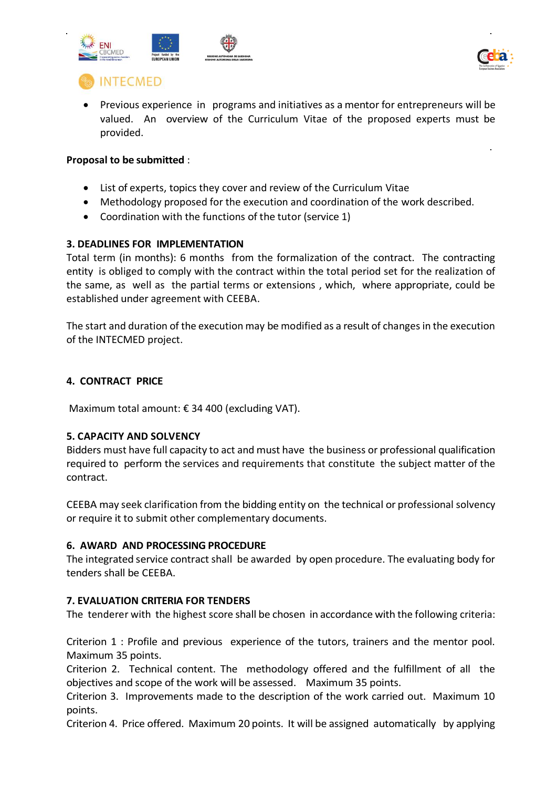



# **INTECMED**

• Previous experience in programs and initiatives as a mentor for entrepreneurs will be valued. An overview of the Curriculum Vitae of the proposed experts must be provided.

## **Proposal to be submitted** :

- List of experts, topics they cover and review of the Curriculum Vitae
- Methodology proposed for the execution and coordination of the work described.
- Coordination with the functions of the tutor (service 1)

## **3. DEADLINES FOR IMPLEMENTATION**

Total term (in months): 6 months from the formalization of the contract. The contracting entity is obliged to comply with the contract within the total period set for the realization of the same, as well as the partial terms or extensions , which, where appropriate, could be established under agreement with CEEBA.

The start and duration of the execution may be modified as a result of changes in the execution of the INTECMED project.

## **4. CONTRACT PRICE**

Maximum total amount: € 34 400 (excluding VAT).

## **5. CAPACITY AND SOLVENCY**

Bidders must have full capacity to act and must have the business or professional qualification required to perform the services and requirements that constitute the subject matter of the contract.

CEEBA may seek clarification from the bidding entity on the technical or professional solvency or require it to submit other complementary documents.

## **6. AWARD AND PROCESSING PROCEDURE**

The integrated service contract shall be awarded by open procedure. The evaluating body for tenders shall be CEEBA.

## **7. EVALUATION CRITERIA FOR TENDERS**

The tenderer with the highest score shall be chosen in accordance with the following criteria:

Criterion 1 : Profile and previous experience of the tutors, trainers and the mentor pool. Maximum 35 points.

Criterion 2. Technical content. The methodology offered and the fulfillment of all the objectives and scope of the work will be assessed. Maximum 35 points.

Criterion 3. Improvements made to the description of the work carried out. Maximum 10 points.

Criterion 4. Price offered. Maximum 20 points. It will be assigned automatically by applying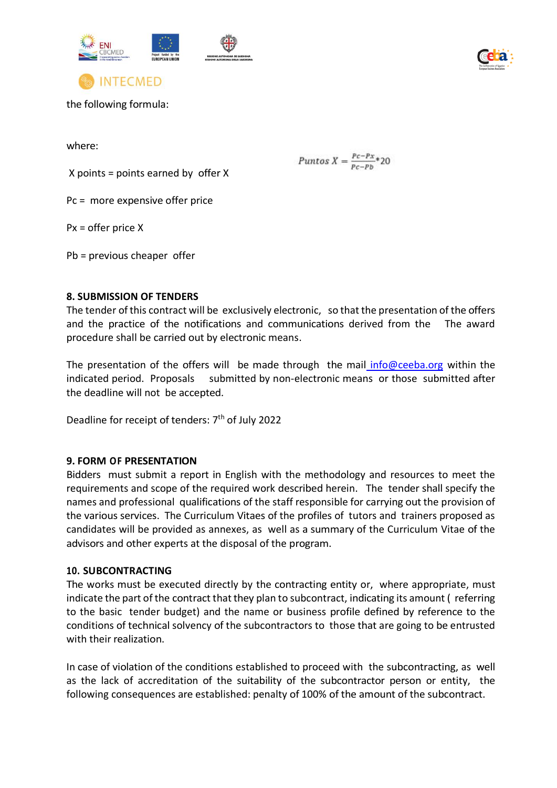



the following formula:

**INTECMED** 

where:

X points = points earned by offer X

Pc = more expensive offer price

Px = offer price X

Pb = previous cheaper offer

## **8. SUBMISSION OF TENDERS**

The tender of this contract will be exclusively electronic, so that the presentation of the offers and the practice of the notifications and communications derived from the The award procedure shall be carried out by electronic means.

Puntos  $X = \frac{Pc - Px}{Pc - Pb}$ \*20

The presentation of the offers will be made through the mail info@ceeba.org within the indicated period. Proposals submitted by non-electronic means or those submitted after the deadline will not be accepted.

Deadline for receipt of tenders: 7<sup>th</sup> of July 2022

## **9. FORM OF PRESENTATION**

Bidders must submit a report in English with the methodology and resources to meet the requirements and scope of the required work described herein. The tender shall specify the names and professional qualifications of the staff responsible for carrying out the provision of the various services. The Curriculum Vitaes of the profiles of tutors and trainers proposed as candidates will be provided as annexes, as well as a summary of the Curriculum Vitae of the advisors and other experts at the disposal of the program.

## **10. SUBCONTRACTING**

The works must be executed directly by the contracting entity or, where appropriate, must indicate the part of the contract that they plan to subcontract, indicating its amount (referring to the basic tender budget) and the name or business profile defined by reference to the conditions of technical solvency of the subcontractors to those that are going to be entrusted with their realization.

In case of violation of the conditions established to proceed with the subcontracting, as well as the lack of accreditation of the suitability of the subcontractor person or entity, the following consequences are established: penalty of 100% of the amount of the subcontract.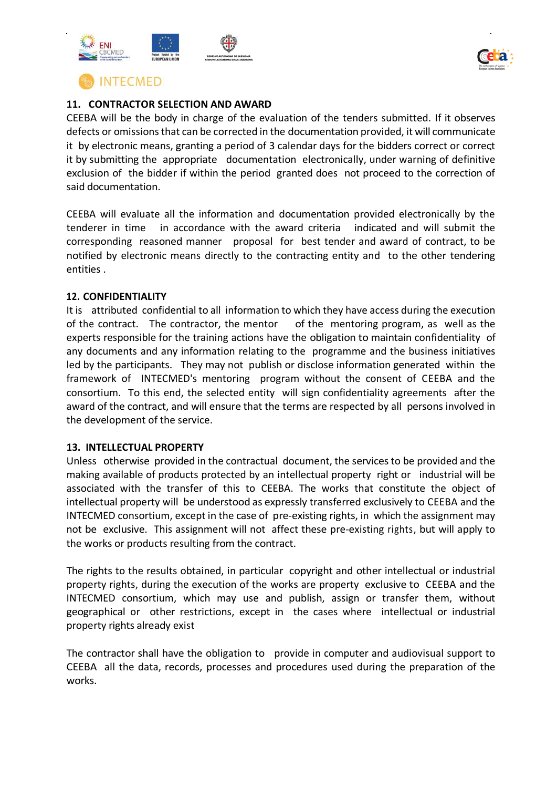



## **11. CONTRACTOR SELECTION AND AWARD**

CEEBA will be the body in charge of the evaluation of the tenders submitted. If it observes defects or omissions that can be corrected in the documentation provided, it will communicate it by electronic means, granting a period of 3 calendar days for the bidders correct or correct it by submitting the appropriate documentation electronically, under warning of definitive exclusion of the bidder if within the period granted does not proceed to the correction of said documentation.

CEEBA will evaluate all the information and documentation provided electronically by the tenderer in time in accordance with the award criteria indicated and will submit the corresponding reasoned manner proposal for best tender and award of contract, to be notified by electronic means directly to the contracting entity and to the other tendering entities .

#### **12. CONFIDENTIALITY**

It is attributed confidential to all information to which they have access during the execution of the contract. The contractor, the mentor of the mentoring program, as well as the experts responsible for the training actions have the obligation to maintain confidentiality of any documents and any information relating to the programme and the business initiatives led by the participants. They may not publish or disclose information generated within the framework of INTECMED's mentoring program without the consent of CEEBA and the consortium. To this end, the selected entity will sign confidentiality agreements after the award of the contract, and will ensure that the terms are respected by all persons involved in the development of the service.

## **13. INTELLECTUAL PROPERTY**

Unless otherwise provided in the contractual document, the servicesto be provided and the making available of products protected by an intellectual property right or industrial will be associated with the transfer of this to CEEBA. The works that constitute the object of intellectual property will be understood as expressly transferred exclusively to CEEBA and the INTECMED consortium, except in the case of pre-existing rights, in which the assignment may not be exclusive. This assignment will not affect these pre-existing rights, but will apply to the works or products resulting from the contract.

The rights to the results obtained, in particular copyright and other intellectual or industrial property rights, during the execution of the works are property exclusive to CEEBA and the INTECMED consortium, which may use and publish, assign or transfer them, without geographical or other restrictions, except in the cases where intellectual or industrial property rights already exist

The contractor shall have the obligation to provide in computer and audiovisual support to CEEBA all the data, records, processes and procedures used during the preparation of the works.